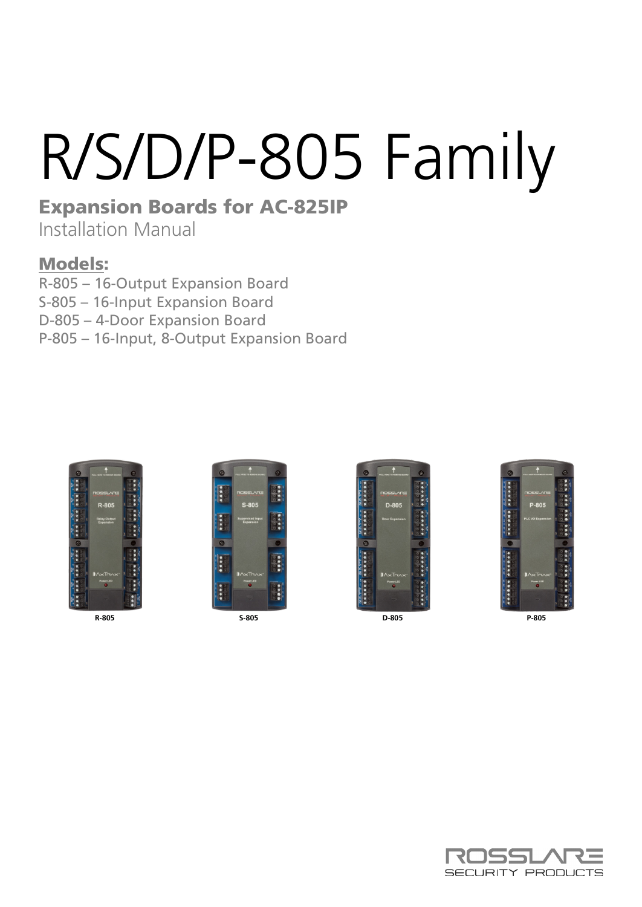# R/S/D/P-805 Family

## Expansion Boards for AC-825IP

Installation Manual

## Models:

R-805 – 16-Output Expansion Board

S-805 – 16-Input Expansion Board

D-805 – 4-Door Expansion Board

P-805 – 16-Input, 8-Output Expansion Board









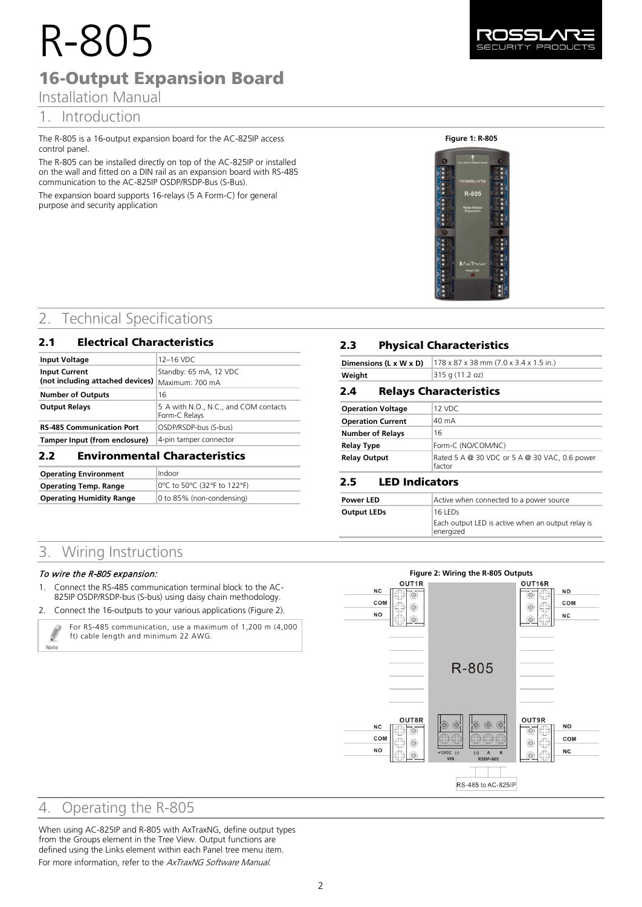## R-805 16-Output Expansion Board

## 1. Introduction

The R-805 is a 16-output expansion board for the AC-825IP access control panel.

The R-805 can be installed directly on top of the AC-825IP or installed on the wall and fitted on a DIN rail as an expansion board with RS-485 communication to the AC-825IP OSDP/RSDP-Bus (S-Bus).

The expansion board supports 16-relays (5 A Form-C) for general purpose and security application

#### **Figure 1: R-805**



## 2. Technical Specifications

## 2.1 Electrical Characteristics

| <b>Input Voltage</b>                                      | 12-16 VDC                                              |
|-----------------------------------------------------------|--------------------------------------------------------|
| <b>Input Current</b><br>(not including attached devices)  | Standby: 65 mA, 12 VDC<br>Maximum: 700 mA              |
| <b>Number of Outputs</b>                                  | 16                                                     |
| <b>Output Relays</b>                                      | 5 A with N.O., N.C., and COM contacts<br>Form-C Relays |
| OSDP/RSDP-bus (S-bus)<br><b>RS-485 Communication Port</b> |                                                        |
| 4-pin tamper connector<br>Tamper Input (from enclosure)   |                                                        |
| <b>Environmental Characteristics</b><br>2.2               |                                                        |

| <b>Operating Environment</b>    | Indoor                      |
|---------------------------------|-----------------------------|
| <b>Operating Temp. Range</b>    | 0°C to 50°C (32°F to 122°F) |
| <b>Operating Humidity Range</b> | 0 to 85% (non-condensing)   |

## **2.3** Physical Characteristics

|        | <b>Dimensions (L x W x D)</b> $ 178 \times 87 \times 38$ mm (7.0 x 3.4 x 1.5 in.) |
|--------|-----------------------------------------------------------------------------------|
| Weight | 315q(11.2 oz)                                                                     |

#### **2.4 Relays Characteristics**

| <b>Operation Voltage</b> | 12 VDC                                                  |
|--------------------------|---------------------------------------------------------|
| <b>Operation Current</b> | 40 mA                                                   |
| <b>Number of Relays</b>  | 16                                                      |
| <b>Relay Type</b>        | Form-C (NO/COM/NC)                                      |
| <b>Relay Output</b>      | Rated 5 A @ 30 VDC or 5 A @ 30 VAC, 0.6 power<br>factor |

## **2.5 LED Indicators**

| <b>Power LED</b>   | Active when connected to a power source                                   |
|--------------------|---------------------------------------------------------------------------|
| <b>Output LEDs</b> | 16 LEDs<br>Each output LED is active when an output relay is<br>energized |

## 3. Wiring Instructions

#### To wire the R-805 expansion:

Note

- 1. Connect the RS-485 communication terminal block to the AC-825IP OSDP/RSDP-bus (S-bus) using daisy chain methodology.
- 2. Connect the 16-outputs to your various applications [\(Figure 2\)](#page-1-0).



<span id="page-1-0"></span>

## 4. Operating the R-805

When using AC-825IP and R-805 with AxTraxNG, define output types from the Groups element in the Tree View. Output functions are defined using the Links element within each Panel tree menu item. For more information, refer to the AxTraxNG Software Manual.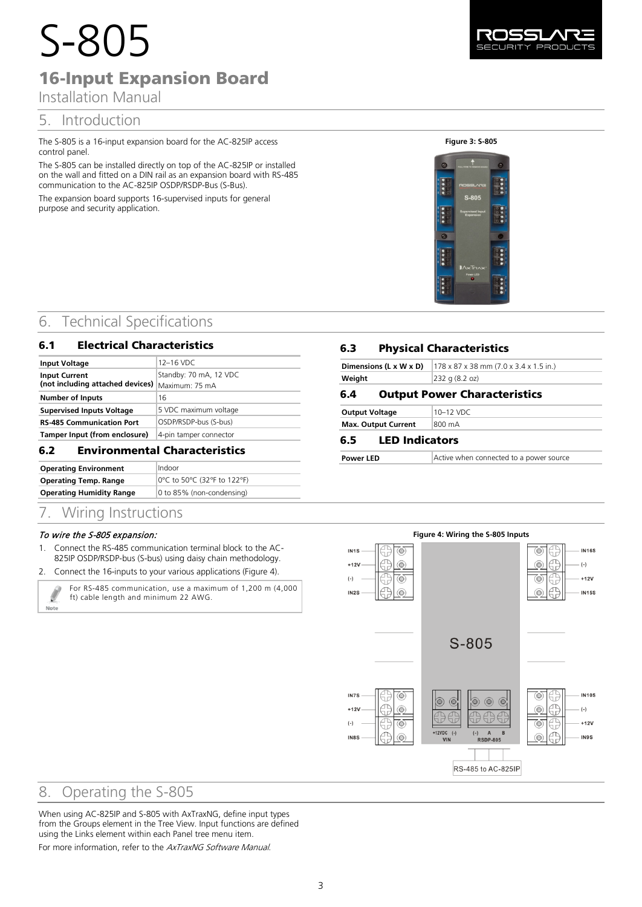## S-805 16-Input Expansion Board

## Installation Manual

## 5. Introduction

The S-805 is a 16-input expansion board for the AC-825IP access control panel.

The S-805 can be installed directly on top of the AC-825IP or installed on the wall and fitted on a DIN rail as an expansion board with RS-485 communication to the AC-825IP OSDP/RSDP-Bus (S-Bus).

The expansion board supports 16-supervised inputs for general purpose and security application.

#### **Figure 3: S-805**



## 6. Technical Specifications

#### 6.1 Electrical Characteristics

| <b>Input Voltage</b>             | $12-16$ VDC            |
|----------------------------------|------------------------|
| <b>Input Current</b>             | Standby: 70 mA, 12 VDC |
| (not including attached devices) | Maximum: 75 mA         |
| <b>Number of Inputs</b>          | 16                     |
| <b>Supervised Inputs Voltage</b> | 5 VDC maximum voltage  |
| <b>RS-485 Communication Port</b> | OSDP/RSDP-bus (S-bus)  |
| Tamper Input (from enclosure)    | 4-pin tamper connector |
|                                  |                        |

## 6.2 Environmental Characteristics

| <b>Operating Environment</b>    | Indoor                      |
|---------------------------------|-----------------------------|
| <b>Operating Temp. Range</b>    | 0°C to 50°C (32°F to 122°F) |
| <b>Operating Humidity Range</b> | 0 to 85% (non-condensing)   |

## 7. Wiring Instructions

#### To wire the S-805 expansion:

- 1. Connect the RS-485 communication terminal block to the AC-825IP OSDP/RSDP-bus (S-bus) using daisy chain methodology.
- 2. Connect the 16-inputs to your various applications [\(Figure 4\)](#page-2-0).

Ø Note

For RS-485 communication, use a maximum of 1,200 m (4,000 ft) cable length and minimum 22 AWG.

## 6.3 Physical Characteristics

| Dimensions (L x W x D)<br>$178 \times 87 \times 38$ mm (7.0 x 3.4 x 1.5 in.) |  |
|------------------------------------------------------------------------------|--|
| $ 232 \text{ q} (8.2 \text{ oz}) $<br>Weight                                 |  |
| <b>Output Power Characteristics</b><br>6.4                                   |  |

Active when connected to a power source

| <b>Output Voltage</b>      | 10-12 VDC |
|----------------------------|-----------|
| <b>Max. Output Current</b> | 800 mA    |

#### 6.5 LED Indicators

| <b>Power LED</b> |  |
|------------------|--|

<span id="page-2-0"></span>

## 8. Operating the S-805

When using AC-825IP and S-805 with AxTraxNG, define input types from the Groups element in the Tree View. Input functions are defined using the Links element within each Panel tree menu item.

For more information, refer to the AxTraxNG Software Manual.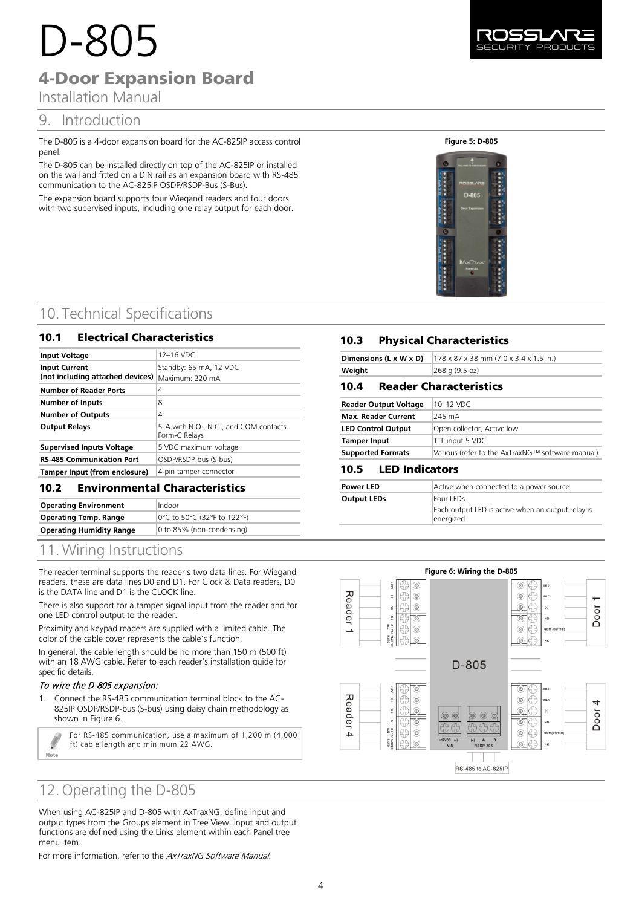# D-805

## 4-Door Expansion Board

## Installation Manual

## 9. Introduction

The D-805 is a 4-door expansion board for the AC-825IP access control panel.

The D-805 can be installed directly on top of the AC-825IP or installed on the wall and fitted on a DIN rail as an expansion board with RS-485 communication to the AC-825IP OSDP/RSDP-Bus (S-Bus).

The expansion board supports four Wiegand readers and four doors with two supervised inputs, including one relay output for each door.

#### **Figure 5: D-805**



## 10. Technical Specifications

## 10.1 Electrical Characteristics

| <b>Input Voltage</b>                                     | 12-16 VDC                                              |
|----------------------------------------------------------|--------------------------------------------------------|
| <b>Input Current</b><br>(not including attached devices) | Standby: 65 mA, 12 VDC<br>Maximum: 220 mA              |
| <b>Number of Reader Ports</b>                            | 4                                                      |
| Number of Inputs                                         | 8                                                      |
| <b>Number of Outputs</b>                                 | 4                                                      |
| <b>Output Relays</b>                                     | 5 A with N.O., N.C., and COM contacts<br>Form-C Relays |
| <b>Supervised Inputs Voltage</b>                         | 5 VDC maximum voltage                                  |
| <b>RS-485 Communication Port</b>                         | OSDP/RSDP-bus (S-bus)                                  |
| Tamper Input (from enclosure)                            | 4-pin tamper connector                                 |

## 10.2 **Environmental Characteristics**

| <b>Operating Environment</b>    | Indoor                      |
|---------------------------------|-----------------------------|
| <b>Operating Temp. Range</b>    | 0°C to 50°C (32°F to 122°F) |
| <b>Operating Humidity Range</b> | 0 to 85% (non-condensing)   |
|                                 |                             |

## 11. Wiring Instructions

The reader terminal supports the reader's two data lines. For Wiegand readers, these are data lines D0 and D1. For Clock & Data readers, D0 is the DATA line and D1 is the CLOCK line.

There is also support for a tamper signal input from the reader and for one LED control output to the reader.

Proximity and keypad readers are supplied with a limited cable. The color of the cable cover represents the cable's function.

In general, the cable length should be no more than 150 m (500 ft) with an 18 AWG cable. Refer to each reader's installation guide for specific details.

#### To wire the D-805 expansion:

Note

1. Connect the RS-485 communication terminal block to the AC-825IP OSDP/RSDP-bus (S-bus) using daisy chain methodology as shown in [Figure 6.](#page-3-0)

> For RS-485 communication, use a maximum of 1,200 m (4,000 ft) cable length and minimum 22 AWG.

## 12. Operating the D-805

When using AC-825IP and D-805 with AxTraxNG, define input and output types from the Groups element in Tree View. Input and output functions are defined using the Links element within each Panel tree menu item.

For more information, refer to the AxTraxNG Software Manual.



|        | <b>Dimensions (L x W x D)</b> $ 178 \times 87 \times 38$ mm (7.0 x 3.4 x 1.5 in.) |
|--------|-----------------------------------------------------------------------------------|
| Weight | $ 268 \text{ q} (9.5 \text{ oz}) $                                                |

## **10.4 Reader Characteristics**

| <b>Reader Output Voltage</b> | 10-12 VDC                                        |
|------------------------------|--------------------------------------------------|
| <b>Max. Reader Current</b>   | 245 mA                                           |
| <b>LED Control Output</b>    | Open collector, Active low                       |
| <b>Tamper Input</b>          | TTL input 5 VDC                                  |
| <b>Supported Formats</b>     | Various (refer to the AxTraxNG™ software manual) |

## 10.5 LED Indicators

| <b>Power LED</b>   | Active when connected to a power source                                     |
|--------------------|-----------------------------------------------------------------------------|
| <b>Output LEDs</b> | Four LEDs<br>Each output LED is active when an output relay is<br>energized |

<span id="page-3-0"></span>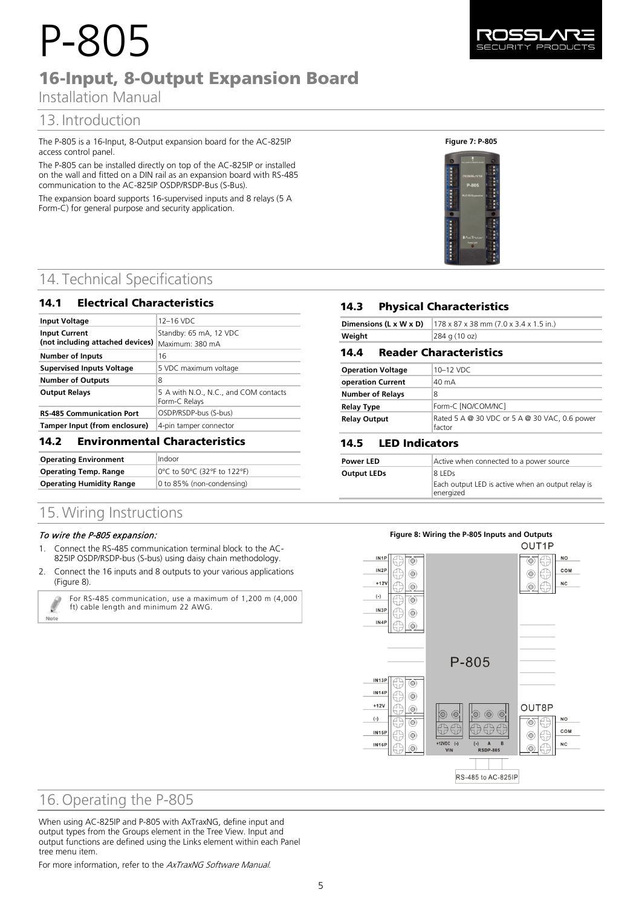# P-805 16-Input, 8-Output Expansion Board

## Installation Manual

## 13. Introduction

The P-805 is a 16-Input, 8-Output expansion board for the AC-825IP access control panel.

The P-805 can be installed directly on top of the AC-825IP or installed on the wall and fitted on a DIN rail as an expansion board with RS-485 communication to the AC-825IP OSDP/RSDP-Bus (S-Bus).

The expansion board supports 16-supervised inputs and 8 relays (5 A Form-C) for general purpose and security application.

## 14. Technical Specifications

#### 14.1 Electrical Characteristics

| <b>Input Voltage</b>                                     | 12-16 VDC                                              |
|----------------------------------------------------------|--------------------------------------------------------|
| <b>Input Current</b><br>(not including attached devices) | Standby: 65 mA, 12 VDC<br>Maximum: 380 mA              |
| <b>Number of Inputs</b>                                  | 16                                                     |
| <b>Supervised Inputs Voltage</b>                         | 5 VDC maximum voltage                                  |
| <b>Number of Outputs</b>                                 | 8                                                      |
| <b>Output Relays</b>                                     | 5 A with N.O., N.C., and COM contacts<br>Form-C Relays |
| <b>RS-485 Communication Port</b>                         | OSDP/RSDP-bus (S-bus)                                  |
| Tamper Input (from enclosure)                            | 4-pin tamper connector                                 |

#### **14.2 Environmental Characteristics**

| <b>Operating Environment</b>    | Indoor                      |
|---------------------------------|-----------------------------|
| <b>Operating Temp. Range</b>    | 0°C to 50°C (32°F to 122°F) |
| <b>Operating Humidity Range</b> | 0 to 85% (non-condensing)   |

## 15. Wiring Instructions

#### To wire the P-805 expansion:

Note

- 1. Connect the RS-485 communication terminal block to the AC-825IP OSDP/RSDP-bus (S-bus) using daisy chain methodology.
- 2. Connect the 16 inputs and 8 outputs to your various applications [\(Figure 8\)](#page-4-0).

For RS-485 communication, use a maximum of 1,200 m (4,000 ft) cable length and minimum 22 AWG.



#### **Figure 7: P-805**



## **14.3 Physical Characteristics**

|        | <b>Dimensions (L x W x D)</b> $ 178 \times 87 \times 38$ mm (7.0 x 3.4 x 1.5 in.) |
|--------|-----------------------------------------------------------------------------------|
| Weight | 284 g (10 oz)                                                                     |

#### 14.4 **Reader Characteristics**

| <b>Operation Voltage</b> | 10-12 VDC                                               |
|--------------------------|---------------------------------------------------------|
| operation Current        | 40 mA                                                   |
| <b>Number of Relays</b>  | 8                                                       |
| <b>Relay Type</b>        | Form-C [NO/COM/NC]                                      |
| <b>Relay Output</b>      | Rated 5 A @ 30 VDC or 5 A @ 30 VAC, 0.6 power<br>factor |

## 14.5 **LED Indicators**

| <b>Power LED</b>   | Active when connected to a power source                                  |
|--------------------|--------------------------------------------------------------------------|
| <b>Output LEDs</b> | 8 LEDS<br>Each output LED is active when an output relay is<br>energized |

#### **Figure 8: Wiring the P-805 Inputs and Outputs**

<span id="page-4-0"></span>

## 16. Operating the P-805

When using AC-825IP and P-805 with AxTraxNG, define input and output types from the Groups element in the Tree View. Input and output functions are defined using the Links element within each Panel tree menu item.

For more information, refer to the AxTraxNG Software Manual.